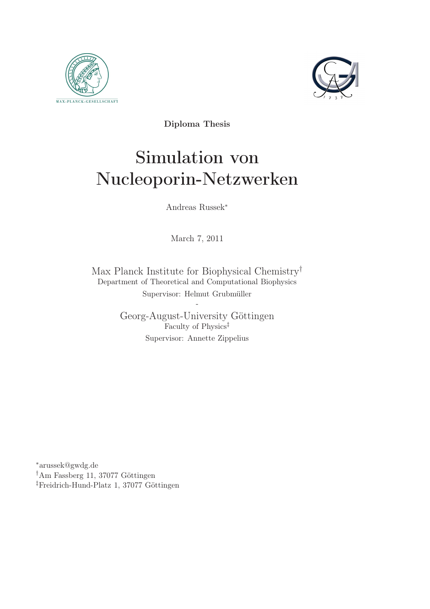



Diploma Thesis

# Simulation von Nucleoporin-Netzwerken

Andreas Russek<sup>∗</sup>

March 7, 2011

Max Planck Institute for Biophysical Chemistry† Department of Theoretical and Computational Biophysics Supervisor: Helmut Grubmüller

> Georg-August-University Göttingen Faculty of Physics‡ Supervisor: Annette Zippelius

-

<sup>∗</sup>arussek@gwdg.de †Am Fassberg 11, 37077 Göttingen ‡Freidrich-Hund-Platz 1, 37077 Göttingen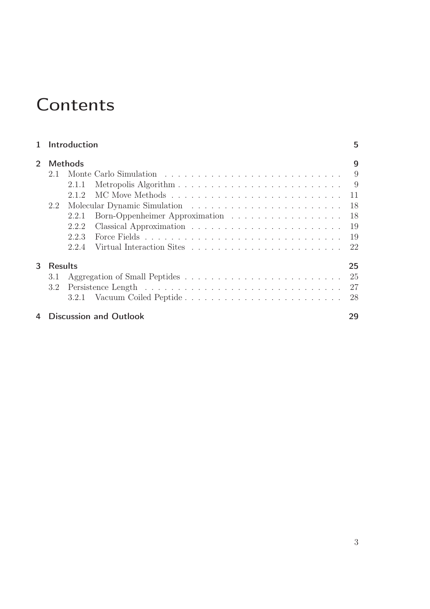# **Contents**

|               |                                     | 1 Introduction |                                | 5  |
|---------------|-------------------------------------|----------------|--------------------------------|----|
| $\mathcal{P}$ | <b>Methods</b>                      |                |                                | 9  |
|               | 2.1                                 |                |                                |    |
|               |                                     | 2.1.1          |                                |    |
|               |                                     | 2.1.2          |                                |    |
|               | 2.2                                 |                |                                | 18 |
|               |                                     | 2.2.1          | Born-Oppenheimer Approximation | 18 |
|               |                                     | 2.2.2          |                                | 19 |
|               |                                     | 2.2.3          |                                |    |
|               |                                     | 2.2.4          |                                |    |
| 3             | <b>Results</b>                      |                |                                | 25 |
|               | 3.1                                 |                |                                | 25 |
|               | 3.2                                 |                |                                | 27 |
|               |                                     | 3.2.1          | Vacuum Coiled Peptide          | 28 |
|               | <b>Discussion and Outlook</b><br>29 |                |                                |    |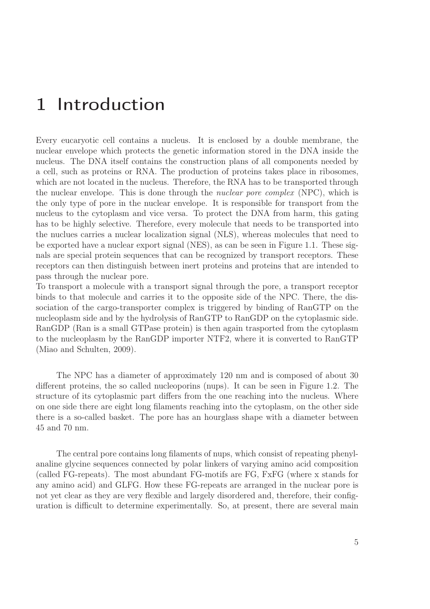## 1 Introduction

Every eucaryotic cell contains a nucleus. It is enclosed by a double membrane, the nuclear envelope which protects the genetic information stored in the DNA inside the nucleus. The DNA itself contains the construction plans of all components needed by a cell, such as proteins or RNA. The production of proteins takes place in ribosomes, which are not located in the nucleus. Therefore, the RNA has to be transported through the nuclear envelope. This is done through the nuclear pore complex (NPC), which is the only type of pore in the nuclear envelope. It is responsible for transport from the nucleus to the cytoplasm and vice versa. To protect the DNA from harm, this gating has to be highly selective. Therefore, every molecule that needs to be transported into the nuclues carries a nuclear localization signal (NLS), whereas molecules that need to be exported have a nuclear export signal (NES), as can be seen in Figure 1.1. These signals are special protein sequences that can be recognized by transport receptors. These receptors can then distinguish between inert proteins and proteins that are intended to pass through the nuclear pore.

To transport a molecule with a transport signal through the pore, a transport receptor binds to that molecule and carries it to the opposite side of the NPC. There, the dissociation of the cargo-transporter complex is triggered by binding of RanGTP on the nucleoplasm side and by the hydrolysis of RanGTP to RanGDP on the cytoplasmic side. RanGDP (Ran is a small GTPase protein) is then again trasported from the cytoplasm to the nucleoplasm by the RanGDP importer NTF2, where it is converted to RanGTP (Miao and Schulten, 2009).

The NPC has a diameter of approximately 120 nm and is composed of about 30 different proteins, the so called nucleoporins (nups). It can be seen in Figure 1.2. The structure of its cytoplasmic part differs from the one reaching into the nucleus. Where on one side there are eight long filaments reaching into the cytoplasm, on the other side there is a so-called basket. The pore has an hourglass shape with a diameter between 45 and 70 nm.

The central pore contains long filaments of nups, which consist of repeating phenylanaline glycine sequences connected by polar linkers of varying amino acid composition (called FG-repeats). The most abundant FG-motifs are FG, FxFG (where x stands for any amino acid) and GLFG. How these FG-repeats are arranged in the nuclear pore is not yet clear as they are very flexible and largely disordered and, therefore, their configuration is difficult to determine experimentally. So, at present, there are several main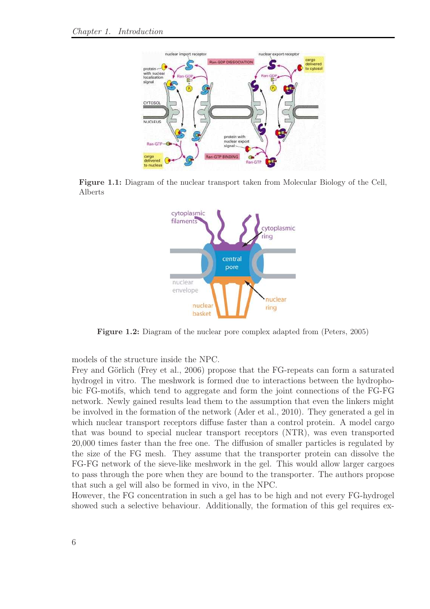

Figure 1.1: Diagram of the nuclear transport taken from Molecular Biology of the Cell, Alberts



Figure 1.2: Diagram of the nuclear pore complex adapted from (Peters, 2005)

models of the structure inside the NPC.

Frey and Görlich (Frey et al., 2006) propose that the FG-repeats can form a saturated hydrogel in vitro. The meshwork is formed due to interactions between the hydrophobic FG-motifs, which tend to aggregate and form the joint connections of the FG-FG network. Newly gained results lead them to the assumption that even the linkers might be involved in the formation of the network (Ader et al., 2010). They generated a gel in which nuclear transport receptors diffuse faster than a control protein. A model cargo that was bound to special nuclear transport receptors (NTR), was even transported 20,000 times faster than the free one. The diffusion of smaller particles is regulated by the size of the FG mesh. They assume that the transporter protein can dissolve the FG-FG network of the sieve-like meshwork in the gel. This would allow larger cargoes to pass through the pore when they are bound to the transporter. The authors propose that such a gel will also be formed in vivo, in the NPC.

However, the FG concentration in such a gel has to be high and not every FG-hydrogel showed such a selective behaviour. Additionally, the formation of this gel requires ex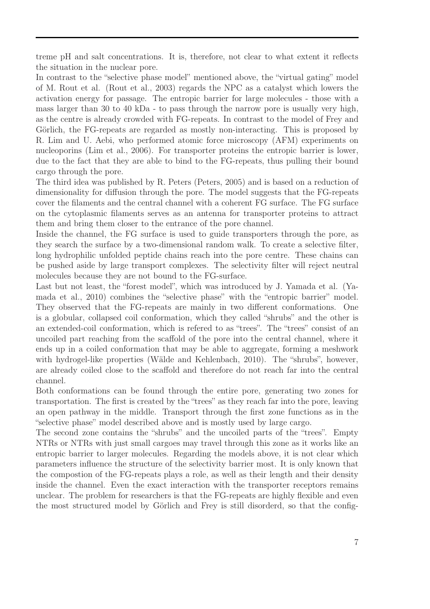treme pH and salt concentrations. It is, therefore, not clear to what extent it reflects the situation in the nuclear pore.

In contrast to the "selective phase model" mentioned above, the "virtual gating" model of M. Rout et al. (Rout et al., 2003) regards the NPC as a catalyst which lowers the activation energy for passage. The entropic barrier for large molecules - those with a mass larger than 30 to 40 kDa - to pass through the narrow pore is usually very high, as the centre is already crowded with FG-repeats. In contrast to the model of Frey and Görlich, the FG-repeats are regarded as mostly non-interacting. This is proposed by R. Lim and U. Aebi, who performed atomic force microscopy (AFM) experiments on nucleoporins (Lim et al., 2006). For transporter proteins the entropic barrier is lower, due to the fact that they are able to bind to the FG-repeats, thus pulling their bound cargo through the pore.

The third idea was published by R. Peters (Peters, 2005) and is based on a reduction of dimensionality for diffusion through the pore. The model suggests that the FG-repeats cover the filaments and the central channel with a coherent FG surface. The FG surface on the cytoplasmic filaments serves as an antenna for transporter proteins to attract them and bring them closer to the entrance of the pore channel.

Inside the channel, the FG surface is used to guide transporters through the pore, as they search the surface by a two-dimensional random walk. To create a selective filter, long hydrophilic unfolded peptide chains reach into the pore centre. These chains can be pushed aside by large transport complexes. The selectivity filter will reject neutral molecules because they are not bound to the FG-surface.

Last but not least, the "forest model", which was introduced by J. Yamada et al. (Yamada et al., 2010) combines the "selective phase" with the "entropic barrier" model. They observed that the FG-repeats are mainly in two different conformations. One is a globular, collapsed coil conformation, which they called "shrubs" and the other is an extended-coil conformation, which is refered to as "trees". The "trees" consist of an uncoiled part reaching from the scaffold of the pore into the central channel, where it ends up in a coiled conformation that may be able to aggregate, forming a meshwork with hydrogel-like properties (Wälde and Kehlenbach, 2010). The "shrubs", however, are already coiled close to the scaffold and therefore do not reach far into the central channel.

Both conformations can be found through the entire pore, generating two zones for transportation. The first is created by the "trees" as they reach far into the pore, leaving an open pathway in the middle. Transport through the first zone functions as in the "selective phase" model described above and is mostly used by large cargo.

The second zone contains the "shrubs" and the uncoiled parts of the "trees". Empty NTRs or NTRs with just small cargoes may travel through this zone as it works like an entropic barrier to larger molecules. Regarding the models above, it is not clear which parameters influence the structure of the selectivity barrier most. It is only known that the compostion of the FG-repeats plays a role, as well as their length and their density inside the channel. Even the exact interaction with the transporter receptors remains unclear. The problem for researchers is that the FG-repeats are highly flexible and even the most structured model by Görlich and Frey is still disorderd, so that the config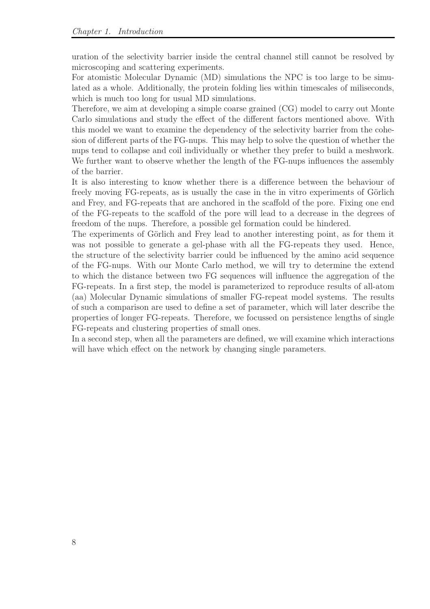uration of the selectivity barrier inside the central channel still cannot be resolved by microscoping and scattering experiments.

For atomistic Molecular Dynamic (MD) simulations the NPC is too large to be simulated as a whole. Additionally, the protein folding lies within timescales of miliseconds, which is much too long for usual MD simulations.

Therefore, we aim at developing a simple coarse grained (CG) model to carry out Monte Carlo simulations and study the effect of the different factors mentioned above. With this model we want to examine the dependency of the selectivity barrier from the cohesion of different parts of the FG-nups. This may help to solve the question of whether the nups tend to collapse and coil individually or whether they prefer to build a meshwork. We further want to observe whether the length of the FG-nups influences the assembly of the barrier.

It is also interesting to know whether there is a difference between the behaviour of freely moving FG-repeats, as is usually the case in the in vitro experiments of Görlich and Frey, and FG-repeats that are anchored in the scaffold of the pore. Fixing one end of the FG-repeats to the scaffold of the pore will lead to a decrease in the degrees of freedom of the nups. Therefore, a possible gel formation could be hindered.

The experiments of Görlich and Frey lead to another interesting point, as for them it was not possible to generate a gel-phase with all the FG-repeats they used. Hence, the structure of the selectivity barrier could be influenced by the amino acid sequence of the FG-nups. With our Monte Carlo method, we will try to determine the extend to which the distance between two FG sequences will influence the aggregation of the FG-repeats. In a first step, the model is parameterized to reproduce results of all-atom (aa) Molecular Dynamic simulations of smaller FG-repeat model systems. The results of such a comparison are used to define a set of parameter, which will later describe the properties of longer FG-repeats. Therefore, we focussed on persistence lengths of single FG-repeats and clustering properties of small ones.

In a second step, when all the parameters are defined, we will examine which interactions will have which effect on the network by changing single parameters.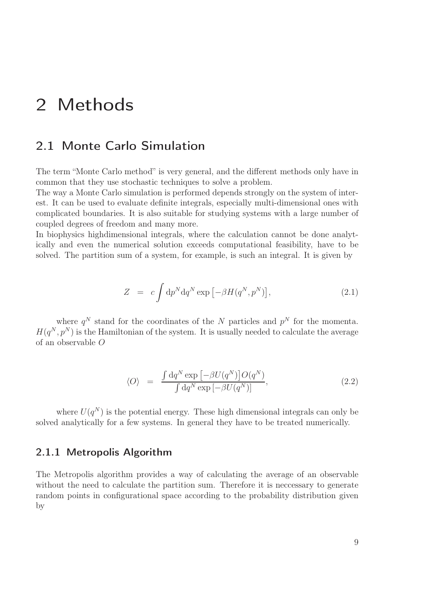## 2 Methods

### 2.1 Monte Carlo Simulation

The term "Monte Carlo method" is very general, and the different methods only have in common that they use stochastic techniques to solve a problem.

The way a Monte Carlo simulation is performed depends strongly on the system of interest. It can be used to evaluate definite integrals, especially multi-dimensional ones with complicated boundaries. It is also suitable for studying systems with a large number of coupled degrees of freedom and many more.

In biophysics highdimensional integrals, where the calculation cannot be done analytically and even the numerical solution exceeds computational feasibility, have to be solved. The partition sum of a system, for example, is such an integral. It is given by

$$
Z = c \int \mathrm{d}p^N \mathrm{d}q^N \exp\left[-\beta H(q^N, p^N)\right],\tag{2.1}
$$

where  $q^N$  stand for the coordinates of the N particles and  $p^N$  for the momenta.  $H(q^N, p^N)$  is the Hamiltonian of the system. It is usually needed to calculate the average of an observable O

$$
\langle O \rangle = \frac{\int dq^N \exp \left[ -\beta U(q^N) \right] O(q^N)}{\int dq^N \exp \left[ -\beta U(q^N) \right]}, \qquad (2.2)
$$

where  $U(q^N)$  is the potential energy. These high dimensional integrals can only be solved analytically for a few systems. In general they have to be treated numerically.

#### 2.1.1 Metropolis Algorithm

The Metropolis algorithm provides a way of calculating the average of an observable without the need to calculate the partition sum. Therefore it is necessary to generate random points in configurational space according to the probability distribution given by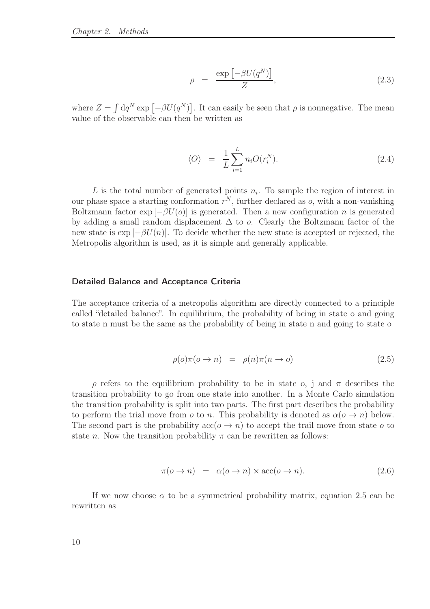$$
\rho = \frac{\exp\left[-\beta U(q^N)\right]}{Z},\tag{2.3}
$$

where  $Z = \int dq^N \exp \left[ -\beta U(q^N) \right]$ . It can easily be seen that  $\rho$  is nonnegative. The mean value of the observable can then be written as

$$
\langle O \rangle = \frac{1}{L} \sum_{i=1}^{L} n_i O(r_i^N). \tag{2.4}
$$

L is the total number of generated points  $n_i$ . To sample the region of interest in our phase space a starting conformation  $r^N$ , further declared as  $o$ , with a non-vanishing Boltzmann factor  $\exp[-\beta U(\rho)]$  is generated. Then a new configuration n is generated by adding a small random displacement  $\Delta$  to *o*. Clearly the Boltzmann factor of the new state is  $\exp[-\beta U(n)]$ . To decide whether the new state is accepted or rejected, the Metropolis algorithm is used, as it is simple and generally applicable.

#### Detailed Balance and Acceptance Criteria

The acceptance criteria of a metropolis algorithm are directly connected to a principle called "detailed balance". In equilibrium, the probability of being in state o and going to state n must be the same as the probability of being in state n and going to state o

$$
\rho(o)\pi(o \to n) = \rho(n)\pi(n \to o) \tag{2.5}
$$

ρ refers to the equilibrium probability to be in state o, j and π describes the transition probability to go from one state into another. In a Monte Carlo simulation the transition probability is split into two parts. The first part describes the probability to perform the trial move from o to n. This probability is denoted as  $\alpha$ ( $o \rightarrow n$ ) below. The second part is the probability  $\operatorname{acc}(o \to n)$  to accept the trail move from state o to state n. Now the transition probability  $\pi$  can be rewritten as follows:

$$
\pi(o \to n) = \alpha(o \to n) \times \text{acc}(o \to n). \tag{2.6}
$$

If we now choose  $\alpha$  to be a symmetrical probability matrix, equation 2.5 can be rewritten as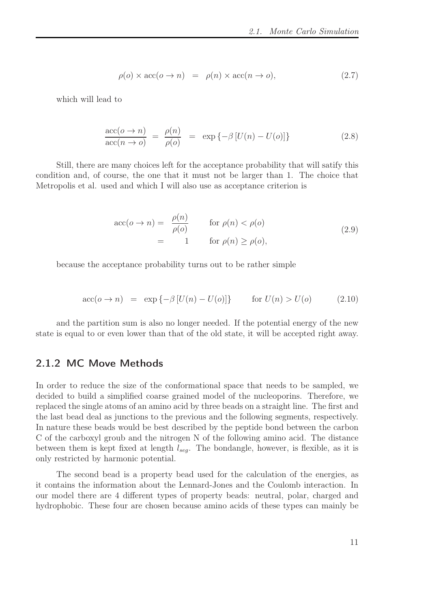$$
\rho(o) \times \text{acc}(o \to n) = \rho(n) \times \text{acc}(n \to o), \tag{2.7}
$$

which will lead to

$$
\frac{\text{acc}(o \to n)}{\text{acc}(n \to o)} = \frac{\rho(n)}{\rho(o)} = \exp \{-\beta [U(n) - U(o)]\}
$$
\n(2.8)

Still, there are many choices left for the acceptance probability that will satify this condition and, of course, the one that it must not be larger than 1. The choice that Metropolis et al. used and which I will also use as acceptance criterion is

$$
\begin{aligned}\n\text{acc}(o \to n) &= \frac{\rho(n)}{\rho(o)} & \text{for } \rho(n) < \rho(o) \\
&= 1 & \text{for } \rho(n) \ge \rho(o),\n\end{aligned}\n\tag{2.9}
$$

because the acceptance probability turns out to be rather simple

$$
\text{acc}(o \to n) = \exp\{-\beta \left[ U(n) - U(o) \right] \} \qquad \text{for } U(n) > U(o) \tag{2.10}
$$

and the partition sum is also no longer needed. If the potential energy of the new state is equal to or even lower than that of the old state, it will be accepted right away.

#### 2.1.2 MC Move Methods

In order to reduce the size of the conformational space that needs to be sampled, we decided to build a simplified coarse grained model of the nucleoporins. Therefore, we replaced the single atoms of an amino acid by three beads on a straight line. The first and the last bead deal as junctions to the previous and the following segments, respectively. In nature these beads would be best described by the peptide bond between the carbon C of the carboxyl groub and the nitrogen N of the following amino acid. The distance between them is kept fixed at length  $l_{seq}$ . The bondangle, however, is flexible, as it is only restricted by harmonic potential.

The second bead is a property bead used for the calculation of the energies, as it contains the information about the Lennard-Jones and the Coulomb interaction. In our model there are 4 different types of property beads: neutral, polar, charged and hydrophobic. These four are chosen because amino acids of these types can mainly be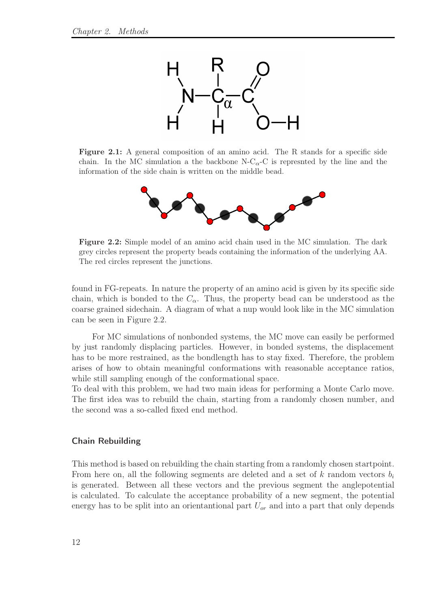

Figure 2.1: A general composition of an amino acid. The R stands for a specific side chain. In the MC simulation a the backbone  $N-C_{\alpha}-C$  is represnted by the line and the information of the side chain is written on the middle bead.



Figure 2.2: Simple model of an amino acid chain used in the MC simulation. The dark grey circles represent the property beads containing the information of the underlying AA. The red circles represent the junctions.

found in FG-repeats. In nature the property of an amino acid is given by its specific side chain, which is bonded to the  $C_{\alpha}$ . Thus, the property bead can be understood as the coarse grained sidechain. A diagram of what a nup would look like in the MC simulation can be seen in Figure 2.2.

For MC simulations of nonbonded systems, the MC move can easily be performed by just randomly displacing particles. However, in bonded systems, the displacement has to be more restrained, as the bondlength has to stay fixed. Therefore, the problem arises of how to obtain meaningful conformations with reasonable acceptance ratios, while still sampling enough of the conformational space.

To deal with this problem, we had two main ideas for performing a Monte Carlo move. The first idea was to rebuild the chain, starting from a randomly chosen number, and the second was a so-called fixed end method.

#### Chain Rebuilding

This method is based on rebuilding the chain starting from a randomly chosen startpoint. From here on, all the following segments are deleted and a set of k random vectors  $b_i$ is generated. Between all these vectors and the previous segment the anglepotential is calculated. To calculate the acceptance probability of a new segment, the potential energy has to be split into an orientantional part  $U_{\alpha r}$  and into a part that only depends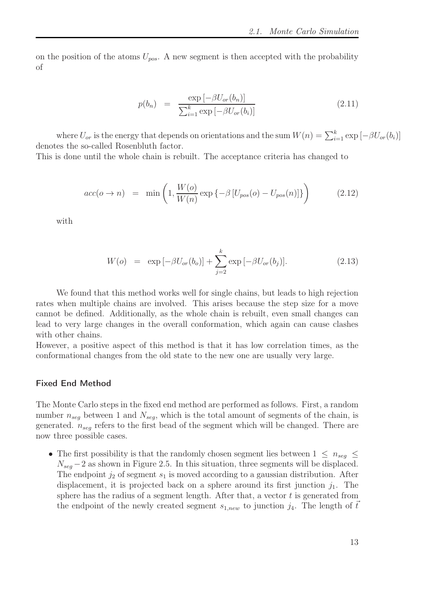on the position of the atoms  $U_{pos}$ . A new segment is then accepted with the probability of

$$
p(b_n) = \frac{\exp\left[-\beta U_{or}(b_n)\right]}{\sum_{i=1}^k \exp\left[-\beta U_{or}(b_i)\right]}
$$
\n(2.11)

where  $U_{or}$  is the energy that depends on orientations and the sum  $W(n) = \sum_{i=1}^{k} \exp \left[-\beta U_{or}(b_i)\right]$ denotes the so-called Rosenbluth factor.

This is done until the whole chain is rebuilt. The acceptance criteria has changed to

$$
acc(o \to n) = \min\left(1, \frac{W(o)}{W(n)} \exp\left\{-\beta \left[U_{pos}(o) - U_{pos}(n)\right]\right\}\right) \tag{2.12}
$$

with

$$
W(o) = \exp[-\beta U_{or}(b_o)] + \sum_{j=2}^{k} \exp[-\beta U_{or}(b_j)].
$$
 (2.13)

We found that this method works well for single chains, but leads to high rejection rates when multiple chains are involved. This arises because the step size for a move cannot be defined. Additionally, as the whole chain is rebuilt, even small changes can lead to very large changes in the overall conformation, which again can cause clashes with other chains.

However, a positive aspect of this method is that it has low correlation times, as the conformational changes from the old state to the new one are usually very large.

#### Fixed End Method

The Monte Carlo steps in the fixed end method are performed as follows. First, a random number  $n_{seq}$  between 1 and  $N_{seq}$ , which is the total amount of segments of the chain, is generated.  $n_{seq}$  refers to the first bead of the segment which will be changed. There are now three possible cases.

• The first possibility is that the randomly chosen segment lies between  $1 \leq n_{seq} \leq$  $N_{seq} - 2$  as shown in Figure 2.5. In this situation, three segments will be displaced. The endpoint  $j_2$  of segment  $s_1$  is moved according to a gaussian distribution. After displacement, it is projected back on a sphere around its first junction  $j_1$ . The sphere has the radius of a segment length. After that, a vector  $t$  is generated from the endpoint of the newly created segment  $s_{1,new}$  to junction  $j_4$ . The length of t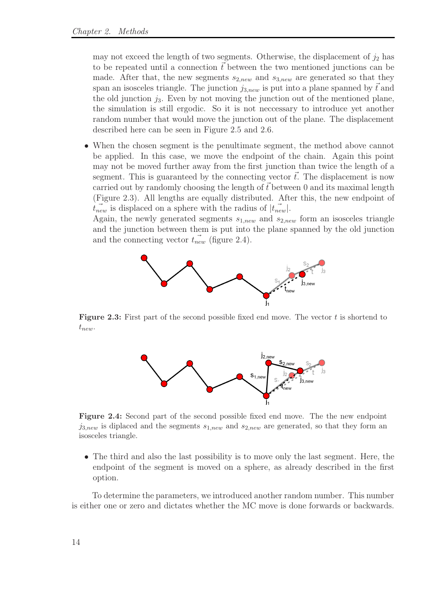may not exceed the length of two segments. Otherwise, the displacement of  $j_2$  has to be repeated until a connection  $\vec{t}$  between the two mentioned junctions can be made. After that, the new segments  $s_{2,new}$  and  $s_{3,new}$  are generated so that they span an isosceles triangle. The junction  $j_{3,new}$  is put into a plane spanned by t and the old junction  $j_3$ . Even by not moving the junction out of the mentioned plane, the simulation is still ergodic. So it is not neccessary to introduce yet another random number that would move the junction out of the plane. The displacement described here can be seen in Figure 2.5 and 2.6.

• When the chosen segment is the penultimate segment, the method above cannot be applied. In this case, we move the endpoint of the chain. Again this point may not be moved further away from the first junction than twice the length of a segment. This is guaranteed by the connecting vector  $\vec{t}$ . The displacement is now carried out by randomly choosing the length of  $\vec{t}$  between 0 and its maximal length (Figure 2.3). All lengths are equally distributed. After this, the new endpoint of  $t_{new}$  is displaced on a sphere with the radius of  $|t_{new}|$ .

Again, the newly generated segments  $s_{1,new}$  and  $s_{2,new}$  form an isosceles triangle and the junction between them is put into the plane spanned by the old junction and the connecting vector  $t_{new}$  (figure 2.4).



**Figure 2.3:** First part of the second possible fixed end move. The vector  $t$  is shortend to  $t_{new}$ .



Figure 2.4: Second part of the second possible fixed end move. The the new endpoint  $j_{3,new}$  is diplaced and the segments  $s_{1,new}$  and  $s_{2,new}$  are generated, so that they form an isosceles triangle.

• The third and also the last possibility is to move only the last segment. Here, the endpoint of the segment is moved on a sphere, as already described in the first option.

To determine the parameters, we introduced another random number. This number is either one or zero and dictates whether the MC move is done forwards or backwards.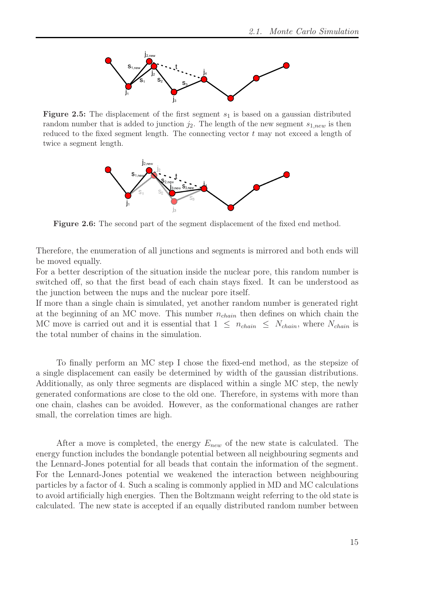

Figure 2.5: The displacement of the first segment  $s_1$  is based on a gaussian distributed random number that is added to junction  $j_2$ . The length of the new segment  $s_{1,new}$  is then reduced to the fixed segment length. The connecting vector  $t$  may not exceed a length of twice a segment length.



Figure 2.6: The second part of the segment displacement of the fixed end method.

Therefore, the enumeration of all junctions and segments is mirrored and both ends will be moved equally.

For a better description of the situation inside the nuclear pore, this random number is switched off, so that the first bead of each chain stays fixed. It can be understood as the junction between the nups and the nuclear pore itself.

If more than a single chain is simulated, yet another random number is generated right at the beginning of an MC move. This number  $n_{chain}$  then defines on which chain the MC move is carried out and it is essential that  $1 \leq n_{chain} \leq N_{chain}$ , where  $N_{chain}$  is the total number of chains in the simulation.

To finally perform an MC step I chose the fixed-end method, as the stepsize of a single displacement can easily be determined by width of the gaussian distributions. Additionally, as only three segments are displaced within a single MC step, the newly generated conformations are close to the old one. Therefore, in systems with more than one chain, clashes can be avoided. However, as the conformational changes are rather small, the correlation times are high.

After a move is completed, the energy  $E_{new}$  of the new state is calculated. The energy function includes the bondangle potential between all neighbouring segments and the Lennard-Jones potential for all beads that contain the information of the segment. For the Lennard-Jones potential we weakened the interaction between neighbouring particles by a factor of 4. Such a scaling is commonly applied in MD and MC calculations to avoid artificially high energies. Then the Boltzmann weight referring to the old state is calculated. The new state is accepted if an equally distributed random number between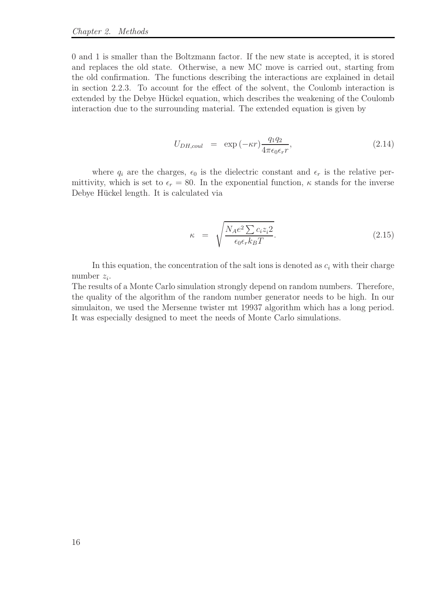0 and 1 is smaller than the Boltzmann factor. If the new state is accepted, it is stored and replaces the old state. Otherwise, a new MC move is carried out, starting from the old confirmation. The functions describing the interactions are explained in detail in section 2.2.3. To account for the effect of the solvent, the Coulomb interaction is extended by the Debye Hückel equation, which describes the weakening of the Coulomb interaction due to the surrounding material. The extended equation is given by

$$
U_{DH,coul} = \exp(-\kappa r) \frac{q_1 q_2}{4\pi \epsilon_0 \epsilon_r r}, \qquad (2.14)
$$

where  $q_i$  are the charges,  $\epsilon_0$  is the dielectric constant and  $\epsilon_r$  is the relative permittivity, which is set to  $\epsilon_r = 80$ . In the exponential function,  $\kappa$  stands for the inverse Debye Hückel length. It is calculated via

$$
\kappa = \sqrt{\frac{N_A e^2 \sum c_i z_i 2}{\epsilon_0 \epsilon_r k_B T}}.
$$
\n(2.15)

In this equation, the concentration of the salt ions is denoted as  $c_i$  with their charge number  $z_i$ .

The results of a Monte Carlo simulation strongly depend on random numbers. Therefore, the quality of the algorithm of the random number generator needs to be high. In our simulaiton, we used the Mersenne twister mt 19937 algorithm which has a long period. It was especially designed to meet the needs of Monte Carlo simulations.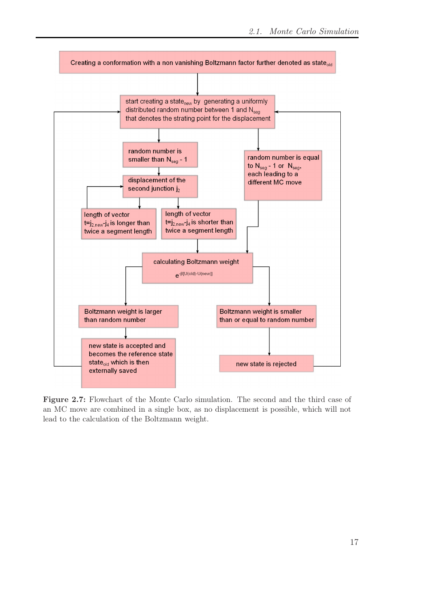

Figure 2.7: Flowchart of the Monte Carlo simulation. The second and the third case of an MC move are combined in a single box, as no displacement is possible, which will not lead to the calculation of the Boltzmann weight.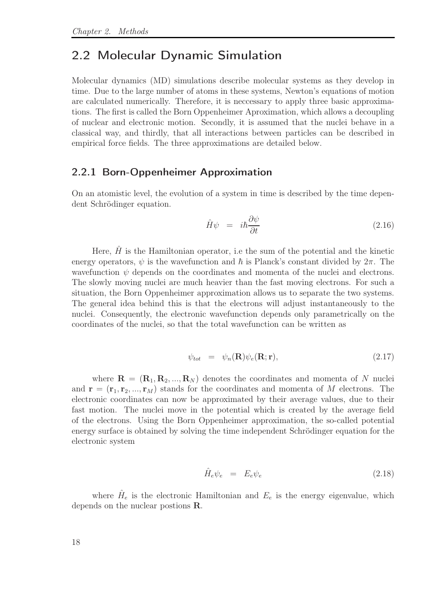### 2.2 Molecular Dynamic Simulation

Molecular dynamics (MD) simulations describe molecular systems as they develop in time. Due to the large number of atoms in these systems, Newton's equations of motion are calculated numerically. Therefore, it is neccessary to apply three basic approximations. The first is called the Born Oppenheimer Aproximation, which allows a decoupling of nuclear and electronic motion. Secondly, it is assumed that the nuclei behave in a classical way, and thirdly, that all interactions between particles can be described in empirical force fields. The three approximations are detailed below.

#### 2.2.1 Born-Oppenheimer Approximation

On an atomistic level, the evolution of a system in time is described by the time dependent Schrödinger equation.

$$
\hat{H}\psi = i\hbar \frac{\partial \psi}{\partial t} \tag{2.16}
$$

Here,  $\hat{H}$  is the Hamiltonian operator, i.e the sum of the potential and the kinetic energy operators,  $\psi$  is the wavefunction and  $\hbar$  is Planck's constant divided by  $2\pi$ . The wavefunction  $\psi$  depends on the coordinates and momenta of the nuclei and electrons. The slowly moving nuclei are much heavier than the fast moving electrons. For such a situation, the Born Oppenheimer approximation allows us to separate the two systems. The general idea behind this is that the electrons will adjust instantaneously to the nuclei. Consequently, the electronic wavefunction depends only parametrically on the coordinates of the nuclei, so that the total wavefunction can be written as

$$
\psi_{tot} = \psi_n(\mathbf{R}) \psi_e(\mathbf{R}; \mathbf{r}), \qquad (2.17)
$$

where  $\mathbf{R} = (\mathbf{R}_1, \mathbf{R}_2, ..., \mathbf{R}_N)$  denotes the coordinates and momenta of N nuclei and  $\mathbf{r} = (\mathbf{r}_1, \mathbf{r}_2, ..., \mathbf{r}_M)$  stands for the coordinates and momenta of M electrons. The electronic coordinates can now be approximated by their average values, due to their fast motion. The nuclei move in the potential which is created by the average field of the electrons. Using the Born Oppenheimer approximation, the so-called potential energy surface is obtained by solving the time independent Schrödinger equation for the electronic system

$$
\hat{H}_e \psi_e = E_e \psi_e \tag{2.18}
$$

where  $\hat{H}_e$  is the electronic Hamiltonian and  $E_e$  is the energy eigenvalue, which depends on the nuclear postions R.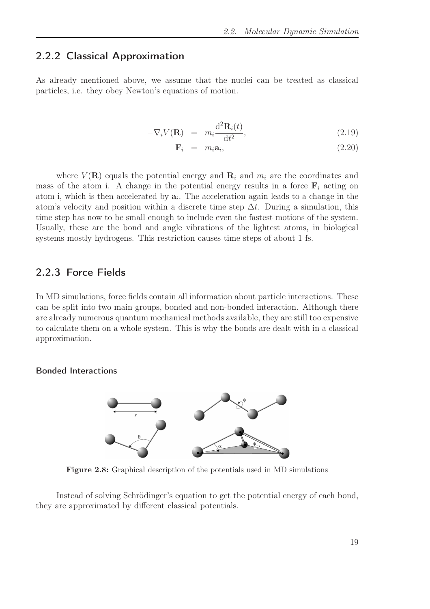#### 2.2.2 Classical Approximation

As already mentioned above, we assume that the nuclei can be treated as classical particles, i.e. they obey Newton's equations of motion.

$$
-\nabla_i V(\mathbf{R}) = m_i \frac{\mathrm{d}^2 \mathbf{R}_i(t)}{\mathrm{d}t^2}, \qquad (2.19)
$$

$$
\mathbf{F}_i = m_i \mathbf{a}_i, \tag{2.20}
$$

where  $V(\mathbf{R})$  equals the potential energy and  $\mathbf{R}_i$  and  $m_i$  are the coordinates and mass of the atom i. A change in the potential energy results in a force  $F_i$  acting on atom i, which is then accelerated by  $a_i$ . The acceleration again leads to a change in the atom's velocity and position within a discrete time step  $\Delta t$ . During a simulation, this time step has now to be small enough to include even the fastest motions of the system. Usually, these are the bond and angle vibrations of the lightest atoms, in biological systems mostly hydrogens. This restriction causes time steps of about 1 fs.

#### 2.2.3 Force Fields

In MD simulations, force fields contain all information about particle interactions. These can be split into two main groups, bonded and non-bonded interaction. Although there are already numerous quantum mechanical methods available, they are still too expensive to calculate them on a whole system. This is why the bonds are dealt with in a classical approximation.

Bonded Interactions



Figure 2.8: Graphical description of the potentials used in MD simulations

Instead of solving Schrödinger's equation to get the potential energy of each bond, they are approximated by different classical potentials.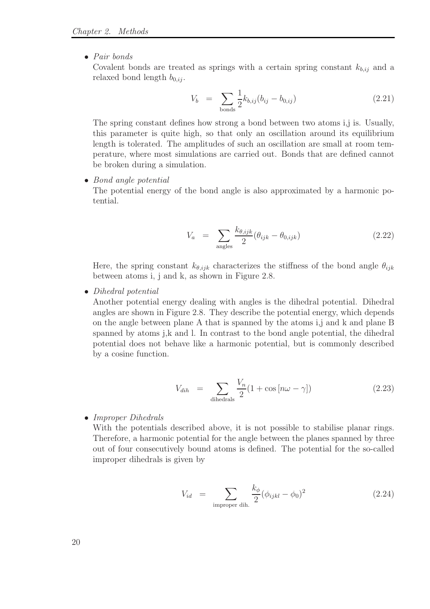• Pair bonds

Covalent bonds are treated as springs with a certain spring constant  $k_{b,ij}$  and a relaxed bond length  $b_{0,ij}$ .

$$
V_b = \sum_{\text{bonds}} \frac{1}{2} k_{b,ij} (b_{ij} - b_{0,ij})
$$
 (2.21)

The spring constant defines how strong a bond between two atoms i,j is. Usually, this parameter is quite high, so that only an oscillation around its equilibrium length is tolerated. The amplitudes of such an oscillation are small at room temperature, where most simulations are carried out. Bonds that are defined cannot be broken during a simulation.

• Bond angle potential

The potential energy of the bond angle is also approximated by a harmonic potential.

$$
V_a = \sum_{\text{angles}} \frac{k_{\theta,ijk}}{2} (\theta_{ijk} - \theta_{0,ijk})
$$
 (2.22)

Here, the spring constant  $k_{\theta,ijk}$  characterizes the stiffness of the bond angle  $\theta_{ijk}$ between atoms i, j and k, as shown in Figure 2.8.

• Dihedral potential

Another potential energy dealing with angles is the dihedral potential. Dihedral angles are shown in Figure 2.8. They describe the potential energy, which depends on the angle between plane A that is spanned by the atoms i,j and k and plane B spanned by atoms j,k and l. In contrast to the bond angle potential, the dihedral potential does not behave like a harmonic potential, but is commonly described by a cosine function.

$$
V_{dih} = \sum_{\text{dihedrals}} \frac{V_n}{2} (1 + \cos\left[n\omega - \gamma\right]) \tag{2.23}
$$

• Improper Dihedrals

With the potentials described above, it is not possible to stabilise planar rings. Therefore, a harmonic potential for the angle between the planes spanned by three out of four consecutively bound atoms is defined. The potential for the so-called improper dihedrals is given by

$$
V_{id} = \sum_{\text{improper dih.}} \frac{k_{\phi}}{2} (\phi_{ijkl} - \phi_0)^2 \qquad (2.24)
$$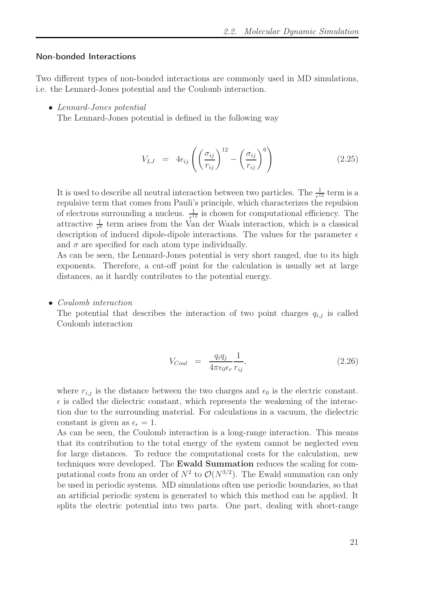#### Non-bonded Interactions

Two different types of non-bonded interactions are commonly used in MD simulations, i.e. the Lennard-Jones potential and the Coulomb interaction.

• Lennard-Jones potential

The Lennard-Jones potential is defined in the following way

$$
V_{LJ} = 4\epsilon_{ij} \left( \left( \frac{\sigma_{ij}}{r_{ij}} \right)^{12} - \left( \frac{\sigma_{ij}}{r_{ij}} \right)^6 \right) \tag{2.25}
$$

It is used to describe all neutral interaction between two particles. The  $\frac{1}{r^{12}}$  term is a repulsive term that comes from Pauli's principle, which characterizes the repulsion of electrons surrounding a nucleus.  $\frac{1}{r^{12}}$  is chosen for computational efficiency. The attractive  $\frac{1}{r^6}$  term arises from the Van der Waals interaction, which is a classical description of induced dipole-dipole interactions. The values for the parameter  $\epsilon$ and  $\sigma$  are specified for each atom type individually.

As can be seen, the Lennard-Jones potential is very short ranged, due to its high exponents. Therefore, a cut-off point for the calculation is usually set at large distances, as it hardly contributes to the potential energy.

• Coulomb interaction

The potential that describes the interaction of two point charges  $q_{i,j}$  is called Coulomb interaction

$$
V_{Coul} = \frac{q_i q_j}{4\pi\epsilon_0 \epsilon_r} \frac{1}{r_{ij}},\tag{2.26}
$$

where  $r_{i,j}$  is the distance between the two charges and  $\epsilon_0$  is the electric constant.  $\epsilon$  is called the dielectric constant, which represents the weakening of the interaction due to the surrounding material. For calculations in a vacuum, the dielectric constant is given as  $\epsilon_r = 1$ .

As can be seen, the Coulomb interaction is a long-range interaction. This means that its contribution to the total energy of the system cannot be neglected even for large distances. To reduce the computational costs for the calculation, new techniques were developed. The Ewald Summation reduces the scaling for computational costs from an order of  $N^2$  to  $\mathcal{O}(N^{3/2})$ . The Ewald summation can only be used in periodic systems. MD simulations often use periodic boundaries, so that an artificial periodic system is generated to which this method can be applied. It splits the electric potential into two parts. One part, dealing with short-range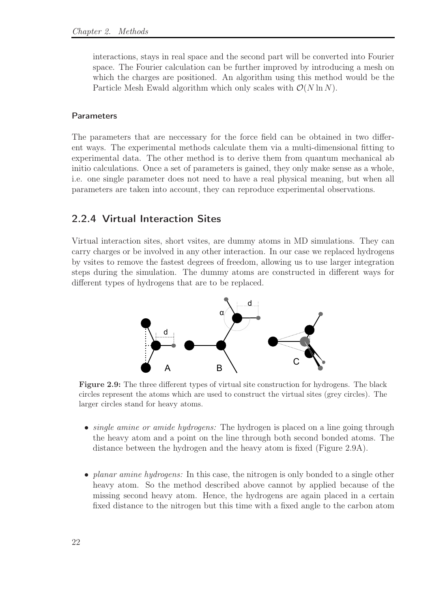interactions, stays in real space and the second part will be converted into Fourier space. The Fourier calculation can be further improved by introducing a mesh on which the charges are positioned. An algorithm using this method would be the Particle Mesh Ewald algorithm which only scales with  $\mathcal{O}(N \ln N)$ .

#### Parameters

The parameters that are neccessary for the force field can be obtained in two different ways. The experimental methods calculate them via a multi-dimensional fitting to experimental data. The other method is to derive them from quantum mechanical ab initio calculations. Once a set of parameters is gained, they only make sense as a whole, i.e. one single parameter does not need to have a real physical meaning, but when all parameters are taken into account, they can reproduce experimental observations.

#### 2.2.4 Virtual Interaction Sites

Virtual interaction sites, short vsites, are dummy atoms in MD simulations. They can carry charges or be involved in any other interaction. In our case we replaced hydrogens by vsites to remove the fastest degrees of freedom, allowing us to use larger integration steps during the simulation. The dummy atoms are constructed in different ways for different types of hydrogens that are to be replaced.



Figure 2.9: The three different types of virtual site construction for hydrogens. The black circles represent the atoms which are used to construct the virtual sites (grey circles). The larger circles stand for heavy atoms.

- single amine or amide hydrogens: The hydrogen is placed on a line going through the heavy atom and a point on the line through both second bonded atoms. The distance between the hydrogen and the heavy atom is fixed (Figure 2.9A).
- planar amine hydrogens: In this case, the nitrogen is only bonded to a single other heavy atom. So the method described above cannot by applied because of the missing second heavy atom. Hence, the hydrogens are again placed in a certain fixed distance to the nitrogen but this time with a fixed angle to the carbon atom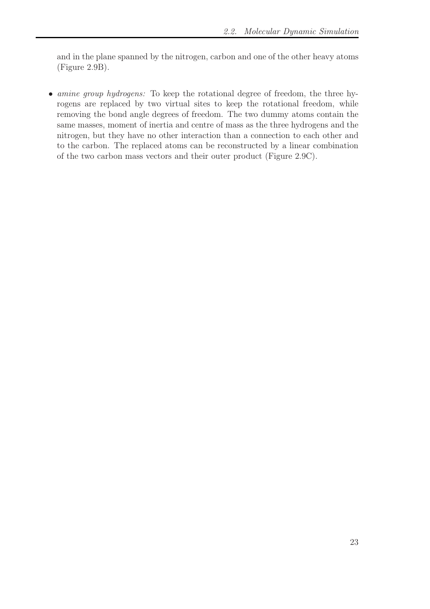and in the plane spanned by the nitrogen, carbon and one of the other heavy atoms (Figure 2.9B).

• *amine group hydrogens:* To keep the rotational degree of freedom, the three hyrogens are replaced by two virtual sites to keep the rotational freedom, while removing the bond angle degrees of freedom. The two dummy atoms contain the same masses, moment of inertia and centre of mass as the three hydrogens and the nitrogen, but they have no other interaction than a connection to each other and to the carbon. The replaced atoms can be reconstructed by a linear combination of the two carbon mass vectors and their outer product (Figure 2.9C).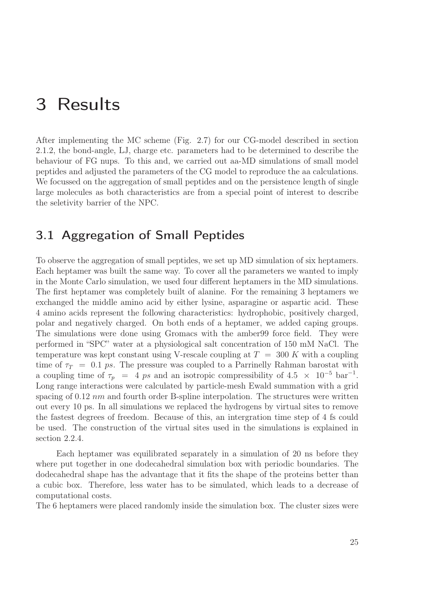## 3 Results

After implementing the MC scheme (Fig. 2.7) for our CG-model described in section 2.1.2, the bond-angle, LJ, charge etc. parameters had to be determined to describe the behaviour of FG nups. To this and, we carried out aa-MD simulations of small model peptides and adjusted the parameters of the CG model to reproduce the aa calculations. We focussed on the aggregation of small peptides and on the persistence length of single large molecules as both characteristics are from a special point of interest to describe the seletivity barrier of the NPC.

### 3.1 Aggregation of Small Peptides

To observe the aggregation of small peptides, we set up MD simulation of six heptamers. Each heptamer was built the same way. To cover all the parameters we wanted to imply in the Monte Carlo simulation, we used four different heptamers in the MD simulations. The first heptamer was completely built of alanine. For the remaining 3 heptamers we exchanged the middle amino acid by either lysine, asparagine or aspartic acid. These 4 amino acids represent the following characteristics: hydrophobic, positively charged, polar and negatively charged. On both ends of a heptamer, we added caping groups. The simulations were done using Gromacs with the amber99 force field. They were performed in "SPC" water at a physiological salt concentration of 150 mM NaCl. The temperature was kept constant using V-rescale coupling at  $T = 300 K$  with a coupling time of  $\tau_T = 0.1 \text{ ps}$ . The pressure was coupled to a Parrinelly Rahman barostat with a coupling time of  $\tau_p = 4 \text{ ps and an isotropic compressibility of } 4.5 \times 10^{-5} \text{ bar}^{-1}$ . Long range interactions were calculated by particle-mesh Ewald summation with a grid spacing of  $0.12 \ nm$  and fourth order B-spline interpolation. The structures were written out every 10 ps. In all simulations we replaced the hydrogens by virtual sites to remove the fastest degrees of freedom. Because of this, an intergration time step of 4 fs could be used. The construction of the virtual sites used in the simulations is explained in section 2.2.4.

Each heptamer was equilibrated separately in a simulation of 20 ns before they where put together in one dodecahedral simulation box with periodic boundaries. The dodecahedral shape has the advantage that it fits the shape of the proteins better than a cubic box. Therefore, less water has to be simulated, which leads to a decrease of computational costs.

The 6 heptamers were placed randomly inside the simulation box. The cluster sizes were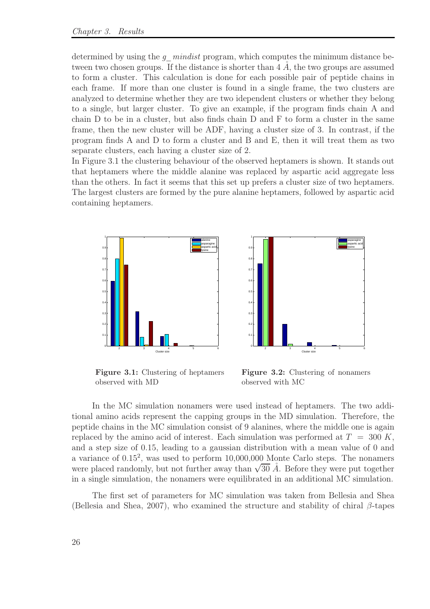determined by using the  $g$  mindist program, which computes the minimum distance between two chosen groups. If the distance is shorter than  $4\,\AA$ , the two groups are assumed to form a cluster. This calculation is done for each possible pair of peptide chains in each frame. If more than one cluster is found in a single frame, the two clusters are analyzed to determine whether they are two idependent clusters or whether they belong to a single, but larger cluster. To give an example, if the program finds chain A and chain D to be in a cluster, but also finds chain D and F to form a cluster in the same frame, then the new cluster will be ADF, having a cluster size of 3. In contrast, if the program finds A and D to form a cluster and B and E, then it will treat them as two separate clusters, each having a cluster size of 2.

In Figure 3.1 the clustering behaviour of the observed heptamers is shown. It stands out that heptamers where the middle alanine was replaced by aspartic acid aggregate less than the others. In fact it seems that this set up prefers a cluster size of two heptamers. The largest clusters are formed by the pure alanine heptamers, followed by aspartic acid containing heptamers.





Figure 3.1: Clustering of heptamers observed with MD

Figure 3.2: Clustering of nonamers observed with MC

In the MC simulation nonamers were used instead of heptamers. The two additional amino acids represent the capping groups in the MD simulation. Therefore, the peptide chains in the MC simulation consist of 9 alanines, where the middle one is again replaced by the amino acid of interest. Each simulation was performed at  $T = 300 K$ , and a step size of 0.15, leading to a gaussian distribution with a mean value of 0 and a variance of 0.15<sup>2</sup> , was used to perform 10,000,000 Monte Carlo steps. The nonamers were placed randomly, but not further away than  $\sqrt{30}$   $\AA$ . Before they were put together in a single simulation, the nonamers were equilibrated in an additional MC simulation.

The first set of parameters for MC simulation was taken from Bellesia and Shea (Bellesia and Shea, 2007), who examined the structure and stability of chiral  $\beta$ -tapes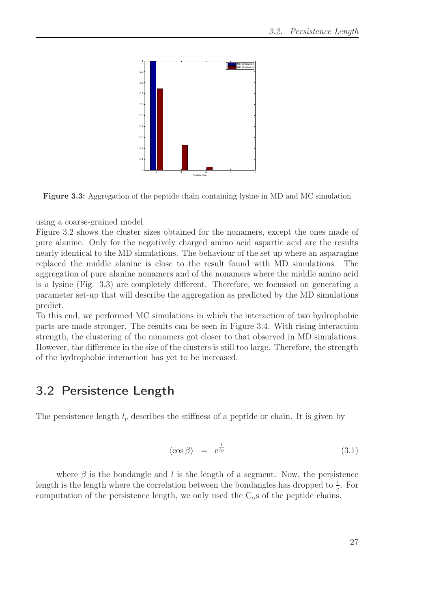

Figure 3.3: Aggregation of the peptide chain containing lysine in MD and MC simulation

using a coarse-grained model.

Figure 3.2 shows the cluster sizes obtained for the nonamers, except the ones made of pure alanine. Only for the negatively charged amino acid aspartic acid are the results nearly identical to the MD simulations. The behaviour of the set up where an asparagine replaced the middle alanine is close to the result found with MD simulations. The aggregation of pure alanine nonamers and of the nonamers where the middle amino acid is a lysine (Fig. 3.3) are completely different. Therefore, we focussed on generating a parameter set-up that will describe the aggregation as predicted by the MD simulations predict.

To this end, we performed MC simulations in which the interaction of two hydrophobic parts are made stronger. The results can be seen in Figure 3.4. With rising interaction strength, the clustering of the nonamers got closer to that observed in MD simulations. However, the difference in the size of the clusters is still too large. Therefore, the strength of the hydrophobic interaction has yet to be increased.

### 3.2 Persistence Length

The persistence length  $l_p$  describes the stiffness of a peptide or chain. It is given by

$$
\langle \cos \beta \rangle = e^{\frac{l}{l_p}} \tag{3.1}
$$

where  $\beta$  is the bondangle and l is the length of a segment. Now, the persistence length is the length where the correlation between the bondangles has dropped to  $\frac{1}{e}$ . For computation of the persistence length, we only used the  $C_{\alpha}$ s of the peptide chains.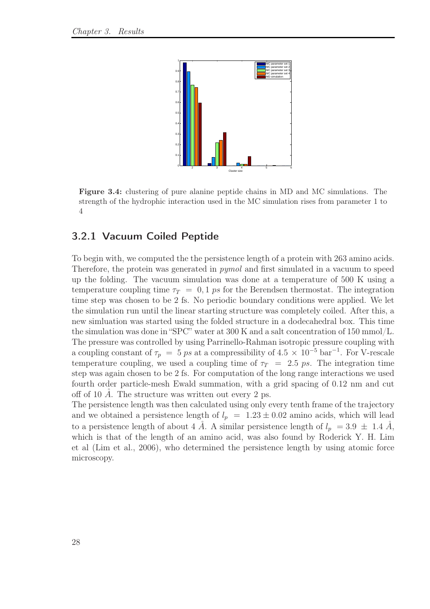

Figure 3.4: clustering of pure alanine peptide chains in MD and MC simulations. The strength of the hydrophic interaction used in the MC simulation rises from parameter 1 to 4

#### 3.2.1 Vacuum Coiled Peptide

To begin with, we computed the the persistence length of a protein with 263 amino acids. Therefore, the protein was generated in *pymol* and first simulated in a vacuum to speed up the folding. The vacuum simulation was done at a temperature of 500 K using a temperature coupling time  $\tau_T = 0, 1 \text{ ps}$  for the Berendsen thermostat. The integration time step was chosen to be 2 fs. No periodic boundary conditions were applied. We let the simulation run until the linear starting structure was completely coiled. After this, a new simluation was started using the folded structure in a dodecahedral box. This time the simulation was done in "SPC" water at 300 K and a salt concentration of 150 mmol/L. The pressure was controlled by using Parrinello-Rahman isotropic pressure coupling with a coupling constant of  $\tau_p = 5 \text{ ps at a compressibility of } 4.5 \times 10^{-5} \text{ bar}^{-1}$ . For V-rescale temperature coupling, we used a coupling time of  $\tau_T = 2.5 \text{ ps}$ . The integration time step was again chosen to be 2 fs. For computation of the long range interactions we used fourth order particle-mesh Ewald summation, with a grid spacing of 0.12 nm and cut off of 10  $\AA$ . The structure was written out every 2 ps.

The persistence length was then calculated using only every tenth frame of the trajectory and we obtained a persistence length of  $l_p = 1.23 \pm 0.02$  amino acids, which will lead to a persistence length of about 4  $\AA$ . A similar persistence length of  $l_p = 3.9 \pm 1.4 \AA$ , which is that of the length of an amino acid, was also found by Roderick Y. H. Lim et al (Lim et al., 2006), who determined the persistence length by using atomic force microscopy.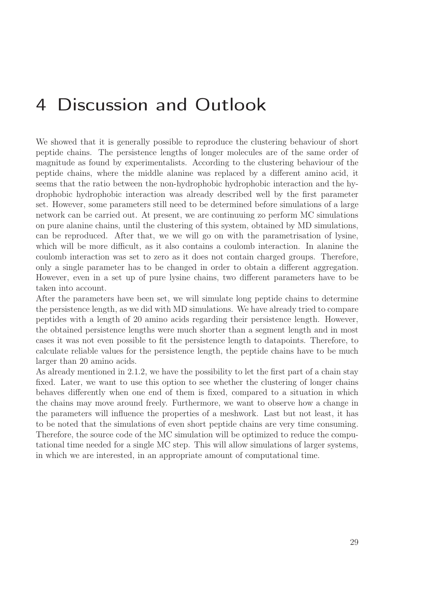## 4 Discussion and Outlook

We showed that it is generally possible to reproduce the clustering behaviour of short peptide chains. The persistence lengths of longer molecules are of the same order of magnitude as found by experimentalists. According to the clustering behaviour of the peptide chains, where the middle alanine was replaced by a different amino acid, it seems that the ratio between the non-hydrophobic hydrophobic interaction and the hydrophobic hydrophobic interaction was already described well by the first parameter set. However, some parameters still need to be determined before simulations of a large network can be carried out. At present, we are continuuing zo perform MC simulations on pure alanine chains, until the clustering of this system, obtained by MD simulations, can be reproduced. After that, we we will go on with the parametrisation of lysine, which will be more difficult, as it also contains a coulomb interaction. In alanine the coulomb interaction was set to zero as it does not contain charged groups. Therefore, only a single parameter has to be changed in order to obtain a different aggregation. However, even in a set up of pure lysine chains, two different parameters have to be taken into account.

After the parameters have been set, we will simulate long peptide chains to determine the persistence length, as we did with MD simulations. We have already tried to compare peptides with a length of 20 amino acids regarding their persistence length. However, the obtained persistence lengths were much shorter than a segment length and in most cases it was not even possible to fit the persistence length to datapoints. Therefore, to calculate reliable values for the persistence length, the peptide chains have to be much larger than 20 amino acids.

As already mentioned in 2.1.2, we have the possibility to let the first part of a chain stay fixed. Later, we want to use this option to see whether the clustering of longer chains behaves differently when one end of them is fixed, compared to a situation in which the chains may move around freely. Furthermore, we want to observe how a change in the parameters will influence the properties of a meshwork. Last but not least, it has to be noted that the simulations of even short peptide chains are very time consuming. Therefore, the source code of the MC simulation will be optimized to reduce the computational time needed for a single MC step. This will allow simulations of larger systems, in which we are interested, in an appropriate amount of computational time.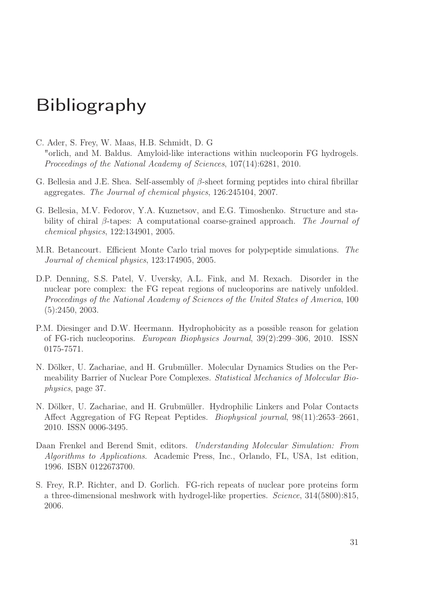## Bibliography

- C. Ader, S. Frey, W. Maas, H.B. Schmidt, D. G "orlich, and M. Baldus. Amyloid-like interactions within nucleoporin FG hydrogels. Proceedings of the National Academy of Sciences, 107(14):6281, 2010.
- G. Bellesia and J.E. Shea. Self-assembly of  $\beta$ -sheet forming peptides into chiral fibrillar aggregates. The Journal of chemical physics, 126:245104, 2007.
- G. Bellesia, M.V. Fedorov, Y.A. Kuznetsov, and E.G. Timoshenko. Structure and stability of chiral  $\beta$ -tapes: A computational coarse-grained approach. The Journal of chemical physics, 122:134901, 2005.
- M.R. Betancourt. Efficient Monte Carlo trial moves for polypeptide simulations. The Journal of chemical physics, 123:174905, 2005.
- D.P. Denning, S.S. Patel, V. Uversky, A.L. Fink, and M. Rexach. Disorder in the nuclear pore complex: the FG repeat regions of nucleoporins are natively unfolded. Proceedings of the National Academy of Sciences of the United States of America, 100 (5):2450, 2003.
- P.M. Diesinger and D.W. Heermann. Hydrophobicity as a possible reason for gelation of FG-rich nucleoporins. European Biophysics Journal, 39(2):299–306, 2010. ISSN 0175-7571.
- N. Dölker, U. Zachariae, and H. Grubmüller. Molecular Dynamics Studies on the Permeability Barrier of Nuclear Pore Complexes. Statistical Mechanics of Molecular Biophysics, page 37.
- N. Dölker, U. Zachariae, and H. Grubmüller. Hydrophilic Linkers and Polar Contacts Affect Aggregation of FG Repeat Peptides. Biophysical journal, 98(11):2653–2661, 2010. ISSN 0006-3495.
- Daan Frenkel and Berend Smit, editors. Understanding Molecular Simulation: From Algorithms to Applications. Academic Press, Inc., Orlando, FL, USA, 1st edition, 1996. ISBN 0122673700.
- S. Frey, R.P. Richter, and D. Gorlich. FG-rich repeats of nuclear pore proteins form a three-dimensional meshwork with hydrogel-like properties. Science, 314(5800):815, 2006.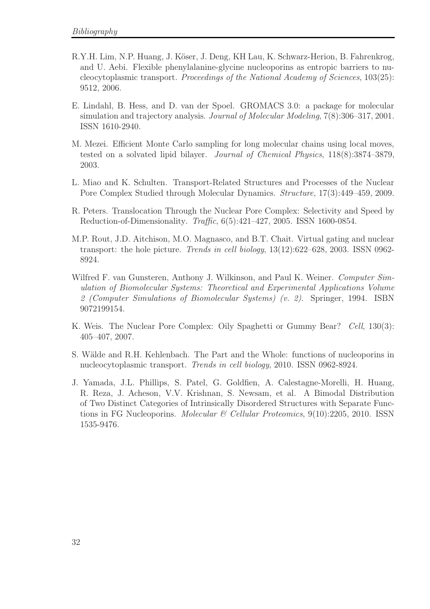- R.Y.H. Lim, N.P. Huang, J. Köser, J. Deng, KH Lau, K. Schwarz-Herion, B. Fahrenkrog, and U. Aebi. Flexible phenylalanine-glycine nucleoporins as entropic barriers to nucleocytoplasmic transport. Proceedings of the National Academy of Sciences, 103(25): 9512, 2006.
- E. Lindahl, B. Hess, and D. van der Spoel. GROMACS 3.0: a package for molecular simulation and trajectory analysis. Journal of Molecular Modeling, 7(8):306–317, 2001. ISSN 1610-2940.
- M. Mezei. Efficient Monte Carlo sampling for long molecular chains using local moves, tested on a solvated lipid bilayer. Journal of Chemical Physics, 118(8):3874–3879, 2003.
- L. Miao and K. Schulten. Transport-Related Structures and Processes of the Nuclear Pore Complex Studied through Molecular Dynamics. Structure, 17(3):449–459, 2009.
- R. Peters. Translocation Through the Nuclear Pore Complex: Selectivity and Speed by Reduction-of-Dimensionality. Traffic, 6(5):421–427, 2005. ISSN 1600-0854.
- M.P. Rout, J.D. Aitchison, M.O. Magnasco, and B.T. Chait. Virtual gating and nuclear transport: the hole picture. Trends in cell biology, 13(12):622–628, 2003. ISSN 0962- 8924.
- Wilfred F. van Gunsteren, Anthony J. Wilkinson, and Paul K. Weiner. Computer Simulation of Biomolecular Systems: Theoretical and Experimental Applications Volume 2 (Computer Simulations of Biomolecular Systems) (v. 2). Springer, 1994. ISBN 9072199154.
- K. Weis. The Nuclear Pore Complex: Oily Spaghetti or Gummy Bear? Cell, 130(3): 405–407, 2007.
- S. Wälde and R.H. Kehlenbach. The Part and the Whole: functions of nucleoporins in nucleocytoplasmic transport. Trends in cell biology, 2010. ISSN 0962-8924.
- J. Yamada, J.L. Phillips, S. Patel, G. Goldfien, A. Calestagne-Morelli, H. Huang, R. Reza, J. Acheson, V.V. Krishnan, S. Newsam, et al. A Bimodal Distribution of Two Distinct Categories of Intrinsically Disordered Structures with Separate Functions in FG Nucleoporins. *Molecular & Cellular Proteomics*,  $9(10):2205$ , 2010. ISSN 1535-9476.